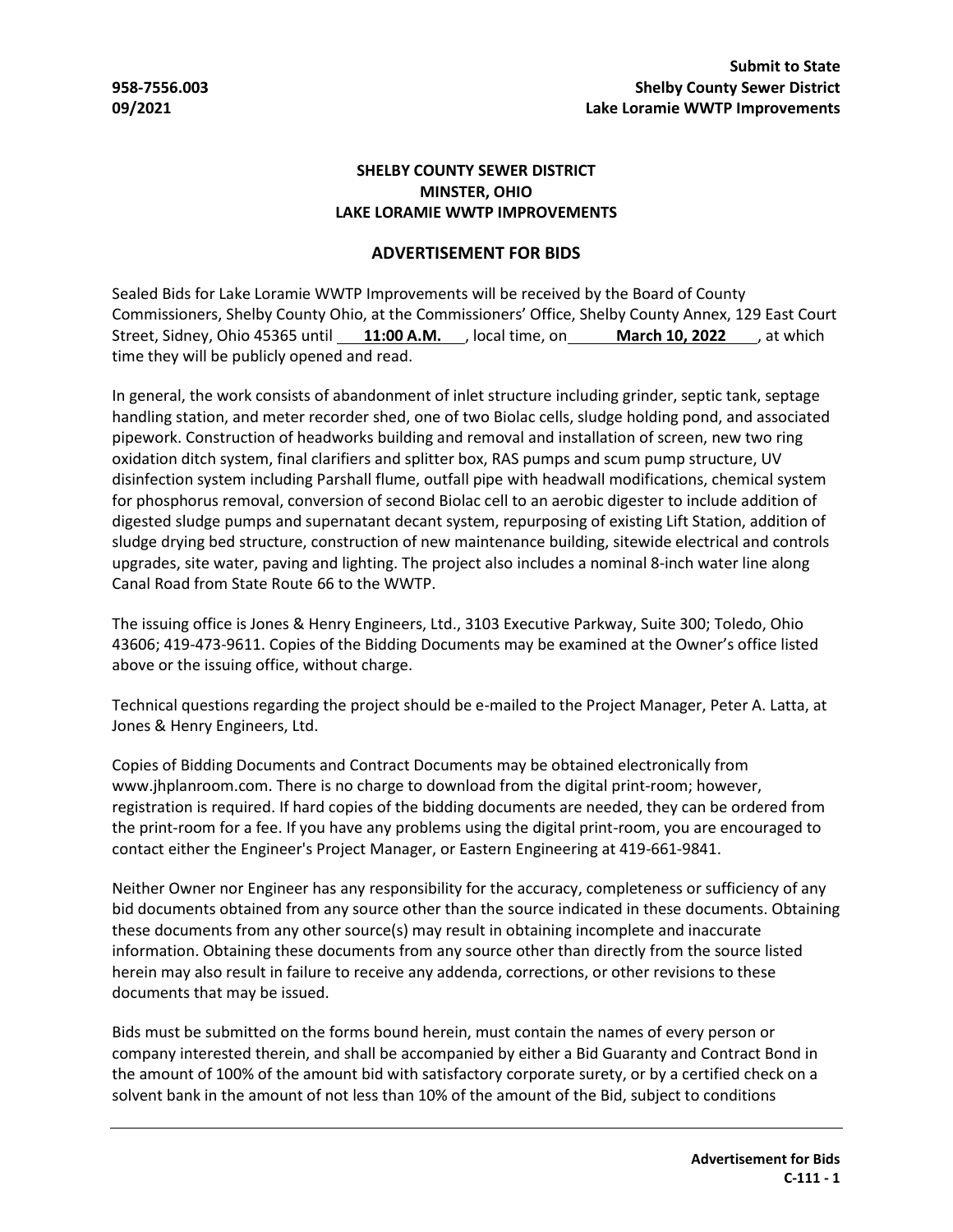## **SHELBY COUNTY SEWER DISTRICT MINSTER, OHIO LAKE LORAMIE WWTP IMPROVEMENTS**

## **ADVERTISEMENT FOR BIDS**

Sealed Bids for Lake Loramie WWTP Improvements will be received by the Board of County Commissioners, Shelby County Ohio, at the Commissioners' Office, Shelby County Annex, 129 East Court Street, Sidney, Ohio 45365 until **11:00 A.M.** , local time, on **March 10, 2022** , at which time they will be publicly opened and read.

In general, the work consists of abandonment of inlet structure including grinder, septic tank, septage handling station, and meter recorder shed, one of two Biolac cells, sludge holding pond, and associated pipework. Construction of headworks building and removal and installation of screen, new two ring oxidation ditch system, final clarifiers and splitter box, RAS pumps and scum pump structure, UV disinfection system including Parshall flume, outfall pipe with headwall modifications, chemical system for phosphorus removal, conversion of second Biolac cell to an aerobic digester to include addition of digested sludge pumps and supernatant decant system, repurposing of existing Lift Station, addition of sludge drying bed structure, construction of new maintenance building, sitewide electrical and controls upgrades, site water, paving and lighting. The project also includes a nominal 8-inch water line along Canal Road from State Route 66 to the WWTP.

The issuing office is Jones & Henry Engineers, Ltd., 3103 Executive Parkway, Suite 300; Toledo, Ohio 43606; 419-473-9611. Copies of the Bidding Documents may be examined at the Owner's office listed above or the issuing office, without charge.

Technical questions regarding the project should be e-mailed to the Project Manager, Peter A. Latta, at Jones & Henry Engineers, Ltd.

Copies of Bidding Documents and Contract Documents may be obtained electronically from www.jhplanroom.com. There is no charge to download from the digital print-room; however, registration is required. If hard copies of the bidding documents are needed, they can be ordered from the print-room for a fee. If you have any problems using the digital print-room, you are encouraged to contact either the Engineer's Project Manager, or Eastern Engineering at 419-661-9841.

Neither Owner nor Engineer has any responsibility for the accuracy, completeness or sufficiency of any bid documents obtained from any source other than the source indicated in these documents. Obtaining these documents from any other source(s) may result in obtaining incomplete and inaccurate information. Obtaining these documents from any source other than directly from the source listed herein may also result in failure to receive any addenda, corrections, or other revisions to these documents that may be issued.

Bids must be submitted on the forms bound herein, must contain the names of every person or company interested therein, and shall be accompanied by either a Bid Guaranty and Contract Bond in the amount of 100% of the amount bid with satisfactory corporate surety, or by a certified check on a solvent bank in the amount of not less than 10% of the amount of the Bid, subject to conditions